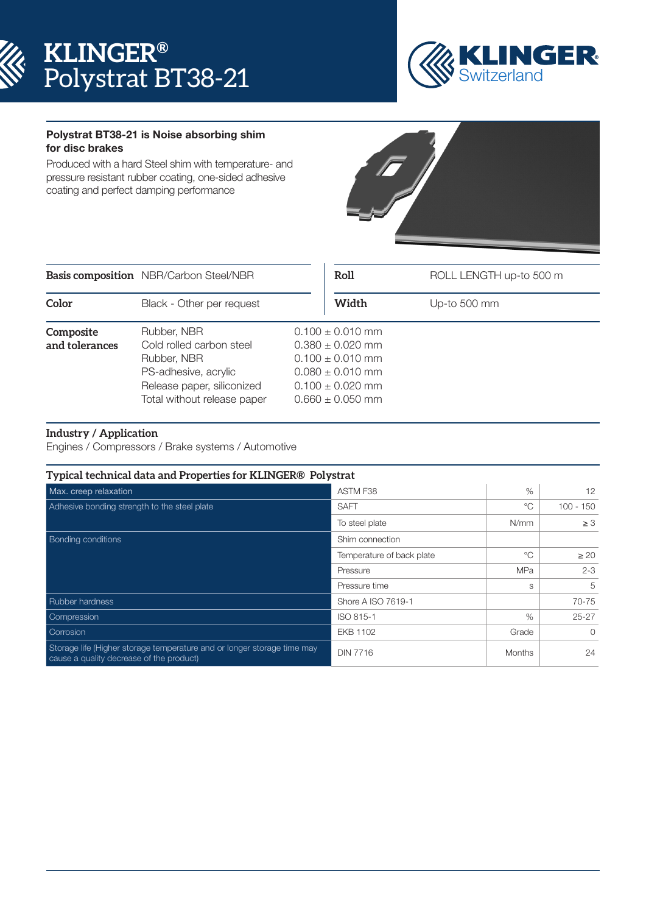



## Polystrat BT38-21 is Noise absorbing shim for disc brakes

Produced with a hard Steel shim with temperature- and pressure resistant rubber coating, one-sided adhesive coating and perfect damping performance



|                             | <b>Basis composition</b> NBR/Carbon Steel/NBR                                                                                               | Roll                                                                                                                                         | ROLL LENGTH up-to 500 m |
|-----------------------------|---------------------------------------------------------------------------------------------------------------------------------------------|----------------------------------------------------------------------------------------------------------------------------------------------|-------------------------|
| Color                       | Black - Other per request                                                                                                                   | Width                                                                                                                                        | Up-to 500 mm            |
| Composite<br>and tolerances | Rubber, NBR<br>Cold rolled carbon steel<br>Rubber, NBR<br>PS-adhesive, acrylic<br>Release paper, siliconized<br>Total without release paper | $0.100 \pm 0.010$ mm<br>$0.380 \pm 0.020$ mm<br>$0.100 \pm 0.010$ mm<br>$0.080 \pm 0.010$ mm<br>$0.100 \pm 0.020$ mm<br>$0.660 \pm 0.050$ mm |                         |

## **Industry / Application**

Engines / Compressors / Brake systems / Automotive

| Typical technical data and Properties for KLINGER® Polystrat<br>$\%$                                                |                           |               |                 |
|---------------------------------------------------------------------------------------------------------------------|---------------------------|---------------|-----------------|
| Max. creep relaxation                                                                                               | ASTM F38                  |               | 12 <sup>2</sup> |
| Adhesive bonding strength to the steel plate                                                                        | <b>SAFT</b>               | $^{\circ}C$   | $100 - 150$     |
|                                                                                                                     | To steel plate            | N/mm          | $\geq 3$        |
| <b>Bonding conditions</b>                                                                                           | Shim connection           |               |                 |
|                                                                                                                     | Temperature of back plate | ℃             | $\geq 20$       |
|                                                                                                                     | Pressure                  | <b>MPa</b>    | $2 - 3$         |
|                                                                                                                     | Pressure time             | S             | 5               |
| Rubber hardness                                                                                                     | Shore A ISO 7619-1        |               | 70-75           |
| Compression                                                                                                         | ISO 815-1                 | %             | $25 - 27$       |
| Corrosion                                                                                                           | EKB 1102                  | Grade         | $\Omega$        |
| Storage life (Higher storage temperature and or longer storage time may<br>cause a quality decrease of the product) | <b>DIN 7716</b>           | <b>Months</b> | 24              |